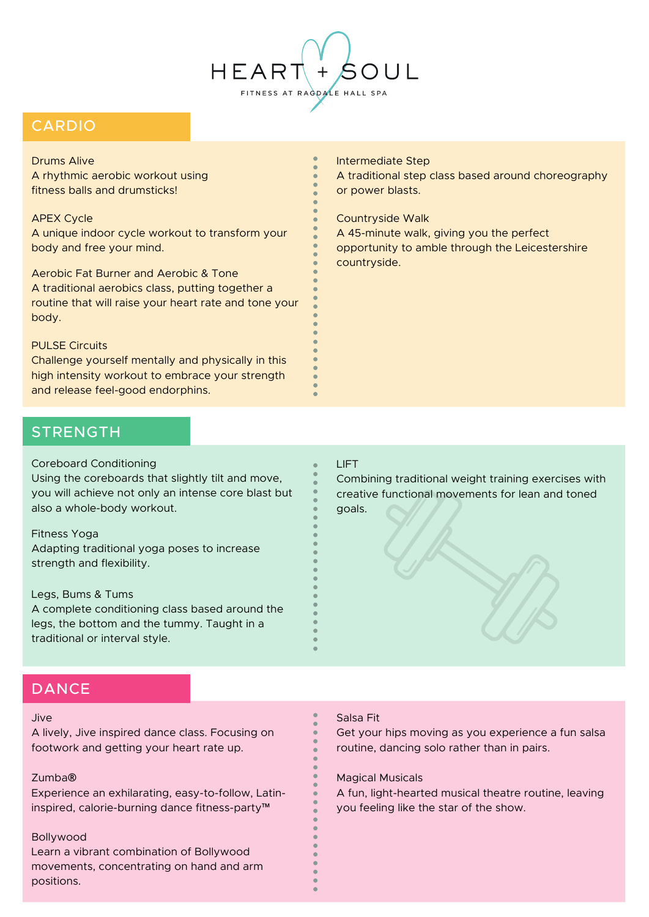

# CARDIO

#### Drums Alive

A rhythmic aerobic workout using fitness balls and drumsticks!

### APEX Cycle

A unique indoor cycle workout to transform your body and free your mind.

Aerobic Fat Burner and Aerobic & Tone A traditional aerobics class, putting together a routine that will raise your heart rate and tone your body.

### PULSE Circuits

Challenge yourself mentally and physically in this high intensity workout to embrace your strength and release feel-good endorphins.

#### Intermediate Step

A traditional step class based around choreography or power blasts.

#### Countryside Walk

A 45-minute walk, giving you the perfect opportunity to amble through the Leicestershire countryside.

## **STRENGTH**

#### Coreboard Conditioning

Using the coreboards that slightly tilt and move, you will achieve not only an intense core blast but also a whole-body workout.

#### Fitness Yoga

Adapting traditional yoga poses to increase strength and flexibility.

## Legs, Bums & Tums

A complete conditioning class based around the legs, the bottom and the tummy. Taught in a traditional or interval style.

#### LIFT

Combining traditional weight training exercises with creative functional movements for lean and toned goals.

## **DANCE**

#### Jive

A lively, Jive inspired dance class. Focusing on footwork and getting your heart rate up.

#### Zumba**®**

Experience an exhilarating, easy-to-follow, Latininspired, calorie-burning dance fitness-party™

#### Bollywood

Learn a vibrant combination of Bollywood movements, concentrating on hand and arm positions.

## Salsa Fit

Get your hips moving as you experience a fun salsa routine, dancing solo rather than in pairs.

Magical Musicals

A fun, light-hearted musical theatre routine, leaving you feeling like the star of the show.